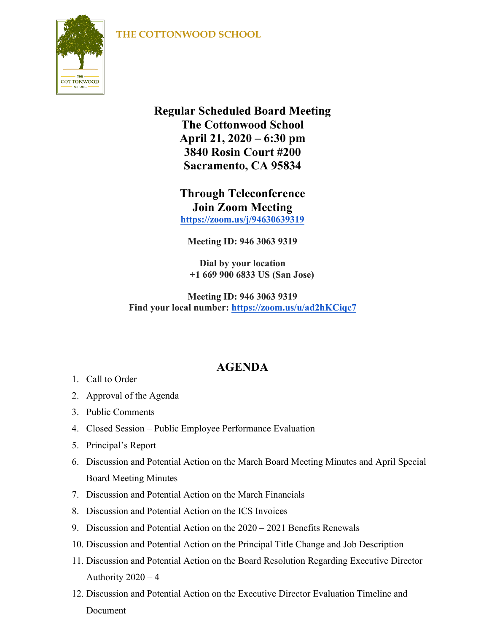## **THE COTTONWOOD SCHOOL**



**Regular Scheduled Board Meeting The Cottonwood School April 21, 2020 – 6:30 pm 3840 Rosin Court #200 Sacramento, CA 95834**

> **Through Teleconference Join Zoom Meeting <https://zoom.us/j/94630639319>**

**Meeting ID: 946 3063 9319**

**Dial by your location +1 669 900 6833 US (San Jose)**

**Meeting ID: 946 3063 9319 Find your local number: <https://zoom.us/u/ad2hKCiqc7>**

## **AGENDA**

- 1. Call to Order
- 2. Approval of the Agenda
- 3. Public Comments
- 4. Closed Session Public Employee Performance Evaluation
- 5. Principal's Report
- 6. Discussion and Potential Action on the March Board Meeting Minutes and April Special Board Meeting Minutes
- 7. Discussion and Potential Action on the March Financials
- 8. Discussion and Potential Action on the ICS Invoices
- 9. Discussion and Potential Action on the 2020 2021 Benefits Renewals
- 10. Discussion and Potential Action on the Principal Title Change and Job Description
- 11. Discussion and Potential Action on the Board Resolution Regarding Executive Director Authority 2020 – 4
- 12. Discussion and Potential Action on the Executive Director Evaluation Timeline and Document